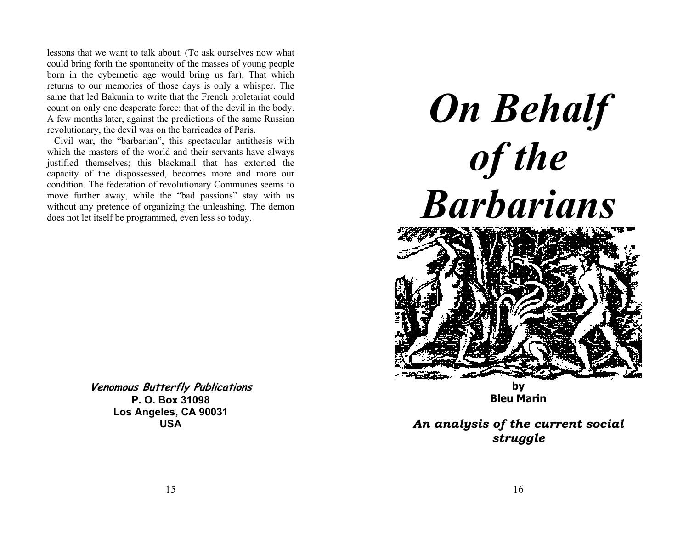lessons that we want to talk about. (To ask ourselves now what could bring forth the spontaneity of the masses of young people born in the cybernetic age would bring us far). That which returns to our memories of those days is only a whisper. The same that led Bakunin to write that the French proletariat could count on only one desperate force: that of the devil in the body. A few months later, against the predictions of the same Russian revolutionary, the devil was on the barricades of Paris.

 Civil war, the "barbarian", this spectacular antithesis with which the masters of the world and their servants have always justified themselves; this blackmail that has extorted the capacity of the dispossessed, becomes more and more our condition. The federation of revolutionary Communes seems to move further away, while the "bad passions" stay with us without any pretence of organizing the unleashing. The demon does not let itself be programmed, even less so today.

**On Behalf** *of the Barbarians* **by** 

**Venomous Butterfly Publications P. O. Box 31098 Los Angeles, CA 90031 USA** 

*An analysis of the current social struggle* 

**Bleu Marin**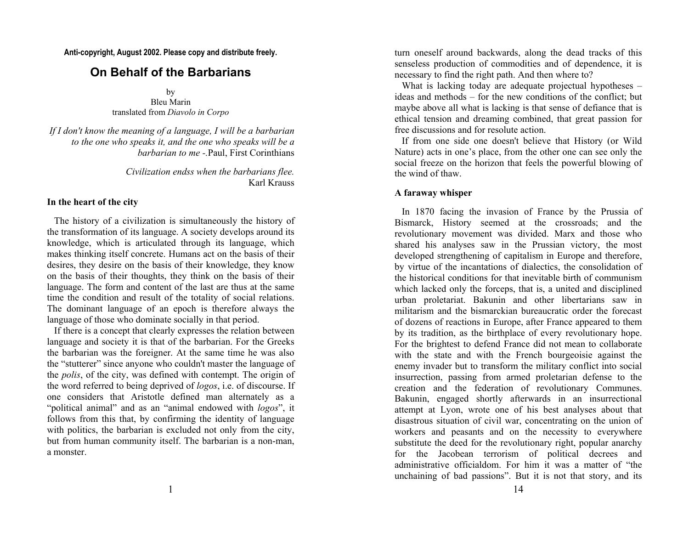**Anti-copyright, August 2002. Please copy and distribute freely.** 

# **On Behalf of the Barbarians**

by Bleu Marin translated from *Diavolo in Corpo*

*If I don't know the meaning of a language, I will be a barbarian to the one who speaks it, and the one who speaks will be a barbarian to me -.*Paul, First Corinthians

> *Civilization endss when the barbarians flee.*  Karl Krauss

# **In the heart of the city**

 The history of a civilization is simultaneously the history of the transformation of its language. A society develops around its knowledge, which is articulated through its language, which makes thinking itself concrete. Humans act on the basis of their desires, they desire on the basis of their knowledge, they know on the basis of their thoughts, they think on the basis of their language. The form and content of the last are thus at the same time the condition and result of the totality of social relations. The dominant language of an epoch is therefore always the language of those who dominate socially in that period.

 If there is a concept that clearly expresses the relation between language and society it is that of the barbarian. For the Greeks the barbarian was the foreigner. At the same time he was also the "stutterer" since anyone who couldn't master the language of the *polis*, of the city, was defined with contempt. The origin of the word referred to being deprived of *logos*, i.e. of discourse. If one considers that Aristotle defined man alternately as a "political animal" and as an "animal endowed with *logos*", it follows from this that, by confirming the identity of language with politics, the barbarian is excluded not only from the city, but from human community itself. The barbarian is a non-man, a monster.

turn oneself around backwards, along the dead tracks of this senseless production of commodities and of dependence, it is necessary to find the right path. And then where to?

What is lacking today are adequate projectual hypotheses – ideas and methods – for the new conditions of the conflict; but maybe above all what is lacking is that sense of defiance that is ethical tension and dreaming combined, that great passion for free discussions and for resolute action.

 If from one side one doesn't believe that History (or Wild Nature) acts in one's place, from the other one can see only the social freeze on the horizon that feels the powerful blowing of the wind of thaw.

# **A faraway whisper**

 In 1870 facing the invasion of France by the Prussia of Bismarck, History seemed at the crossroads; and the revolutionary movement was divided. Marx and those who shared his analyses saw in the Prussian victory, the most developed strengthening of capitalism in Europe and therefore, by virtue of the incantations of dialectics, the consolidation of the historical conditions for that inevitable birth of communism which lacked only the forceps, that is, a united and disciplined urban proletariat. Bakunin and other libertarians saw in militarism and the bismarckian bureaucratic order the forecast of dozens of reactions in Europe, after France appeared to them by its tradition, as the birthplace of every revolutionary hope. For the brightest to defend France did not mean to collaborate with the state and with the French bourgeoisie against the enemy invader but to transform the military conflict into social insurrection, passing from armed proletarian defense to the creation and the federation of revolutionary Communes. Bakunin, engaged shortly afterwards in an insurrectional attempt at Lyon, wrote one of his best analyses about that disastrous situation of civil war, concentrating on the union of workers and peasants and on the necessity to everywhere substitute the deed for the revolutionary right, popular anarchy for the Jacobean terrorism of political decrees and administrative officialdom. For him it was a matter of "the unchaining of bad passions". But it is not that story, and its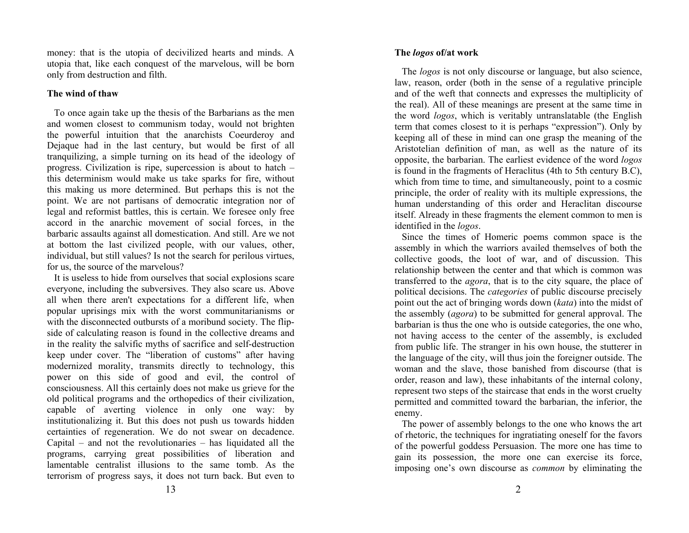money: that is the utopia of decivilized hearts and minds. A utopia that, like each conquest of the marvelous, will be born only from destruction and filth.

# **The wind of thaw**

 To once again take up the thesis of the Barbarians as the men and women closest to communism today, would not brighten the powerful intuition that the anarchists Coeurderoy and Dejaque had in the last century, but would be first of all tranquilizing, a simple turning on its head of the ideology of progress. Civilization is ripe, supercession is about to hatch – this determinism would make us take sparks for fire, without this making us more determined. But perhaps this is not the point. We are not partisans of democratic integration nor of legal and reformist battles, this is certain. We foresee only free accord in the anarchic movement of social forces, in the barbaric assaults against all domestication. And still. Are we not at bottom the last civilized people, with our values, other, individual, but still values? Is not the search for perilous virtues, for us, the source of the marvelous?

 It is useless to hide from ourselves that social explosions scare everyone, including the subversives. They also scare us. Above all when there aren't expectations for a different life, when popular uprisings mix with the worst communitarianisms or with the disconnected outbursts of a moribund society. The flipside of calculating reason is found in the collective dreams and in the reality the salvific myths of sacrifice and self-destruction keep under cover. The "liberation of customs" after having modernized morality, transmits directly to technology, this power on this side of good and evil, the control of consciousness. All this certainly does not make us grieve for the old political programs and the orthopedics of their civilization, capable of averting violence in only one way: by institutionalizing it. But this does not push us towards hidden certainties of regeneration. We do not swear on decadence. Capital – and not the revolutionaries – has liquidated all the programs, carrying great possibilities of liberation and lamentable centralist illusions to the same tomb. As the terrorism of progress says, it does not turn back. But even to

# **The** *logos* **of/at work**

 The *logos* is not only discourse or language, but also science, law, reason, order (both in the sense of a regulative principle and of the weft that connects and expresses the multiplicity of the real). All of these meanings are present at the same time in the word *logos*, which is veritably untranslatable (the English term that comes closest to it is perhaps "expression"). Only by keeping all of these in mind can one grasp the meaning of the Aristotelian definition of man, as well as the nature of its opposite, the barbarian. The earliest evidence of the word *logos* is found in the fragments of Heraclitus (4th to 5th century B.C), which from time to time, and simultaneously, point to a cosmic principle, the order of reality with its multiple expressions, the human understanding of this order and Heraclitan discourse itself. Already in these fragments the element common to men is identified in the *logos*.

 Since the times of Homeric poems common space is the assembly in which the warriors availed themselves of both the collective goods, the loot of war, and of discussion. This relationship between the center and that which is common was transferred to the *agora*, that is to the city square, the place of political decisions. The *categories* of public discourse precisely point out the act of bringing words down (*kata*) into the midst of the assembly (*agora*) to be submitted for general approval. The barbarian is thus the one who is outside categories, the one who, not having access to the center of the assembly, is excluded from public life. The stranger in his own house, the stutterer in the language of the city, will thus join the foreigner outside. The woman and the slave, those banished from discourse (that is order, reason and law), these inhabitants of the internal colony, represent two steps of the staircase that ends in the worst cruelty permitted and committed toward the barbarian, the inferior, the enemy.

 The power of assembly belongs to the one who knows the art of rhetoric, the techniques for ingratiating oneself for the favors of the powerful goddess Persuasion. The more one has time to gain its possession, the more one can exercise its force, imposing one's own discourse as *common* by eliminating the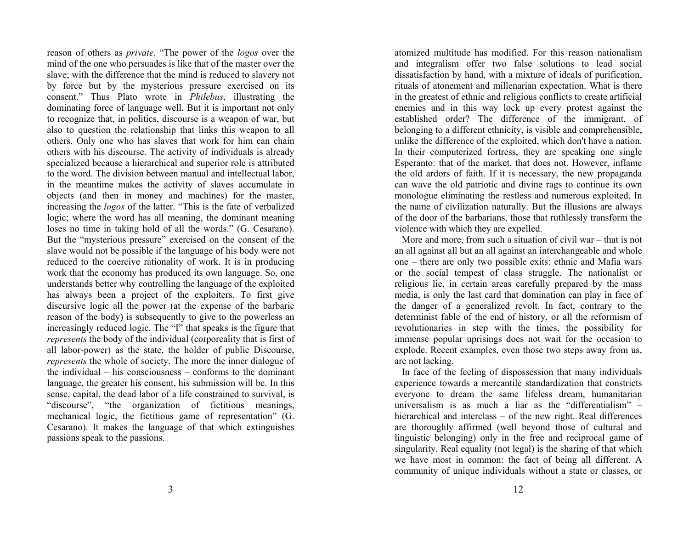reason of others as *private*. "The power of the *logos* over the mind of the one who persuades is like that of the master over the slave; with the difference that the mind is reduced to slavery not by force but by the mysterious pressure exercised on its consent." Thus Plato wrote in *Philebus*, illustrating the dominating force of language well. But it is important not only to recognize that, in politics, discourse is a weapon of war, but also to question the relationship that links this weapon to all others. Only one who has slaves that work for him can chain others with his discourse. The activity of individuals is already specialized because a hierarchical and superior role is attributed to the word. The division between manual and intellectual labor, in the meantime makes the activity of slaves accumulate in objects (and then in money and machines) for the master, increasing the *logos* of the latter. "This is the fate of verbalized logic; where the word has all meaning, the dominant meaning loses no time in taking hold of all the words." (G. Cesarano). But the "mysterious pressure" exercised on the consent of the slave would not be possible if the language of his body were not reduced to the coercive rationality of work. It is in producing work that the economy has produced its own language. So, one understands better why controlling the language of the exploited has always been a project of the exploiters. To first give discursive logic all the power (at the expense of the barbaric reason of the body) is subsequently to give to the powerless an increasingly reduced logic. The "I" that speaks is the figure that *represents* the body of the individual (corporeality that is first of all labor-power) as the state, the holder of public Discourse, *represents* the whole of society. The more the inner dialogue of the individual – his consciousness – conforms to the dominant language, the greater his consent, his submission will be. In this sense, capital, the dead labor of a life constrained to survival, is "discourse", "the organization of fictitious meanings, mechanical logic, the fictitious game of representation" (G. Cesarano). It makes the language of that which extinguishes passions speak to the passions.

atomized multitude has modified. For this reason nationalism and integralism offer two false solutions to lead social dissatisfaction by hand, with a mixture of ideals of purification, rituals of atonement and millenarian expectation. What is there in the greatest of ethnic and religious conflicts to create artificial enemies and in this way lock up every protest against the established order? The difference of the immigrant, of belonging to a different ethnicity, is visible and comprehensible, unlike the difference of the exploited, which don't have a nation. In their computerized fortress, they are speaking one single Esperanto: that of the market, that does not. However, inflame the old ardors of faith. If it is necessary, the new propaganda can wave the old patriotic and divine rags to continue its own monologue eliminating the restless and numerous exploited. In the name of civilization naturally. But the illusions are always of the door of the barbarians, those that ruthlessly transform the violence with which they are expelled.

 More and more, from such a situation of civil war – that is not an all against all but an all against an interchangeable and whole one – there are only two possible exits: ethnic and Mafia wars or the social tempest of class struggle. The nationalist or religious lie, in certain areas carefully prepared by the mass media, is only the last card that domination can play in face of the danger of a generalized revolt. In fact, contrary to the determinist fable of the end of history, or all the reformism of revolutionaries in step with the times, the possibility for immense popular uprisings does not wait for the occasion to explode. Recent examples, even those two steps away from us, are not lacking.

 In face of the feeling of dispossession that many individuals experience towards a mercantile standardization that constricts everyone to dream the same lifeless dream, humanitarian universalism is as much a liar as the "differentialism" – hierarchical and interclass – of the new right. Real differences are thoroughly affirmed (well beyond those of cultural and linguistic belonging) only in the free and reciprocal game of singularity. Real equality (not legal) is the sharing of that which we have most in common: the fact of being all different. A community of unique individuals without a state or classes, or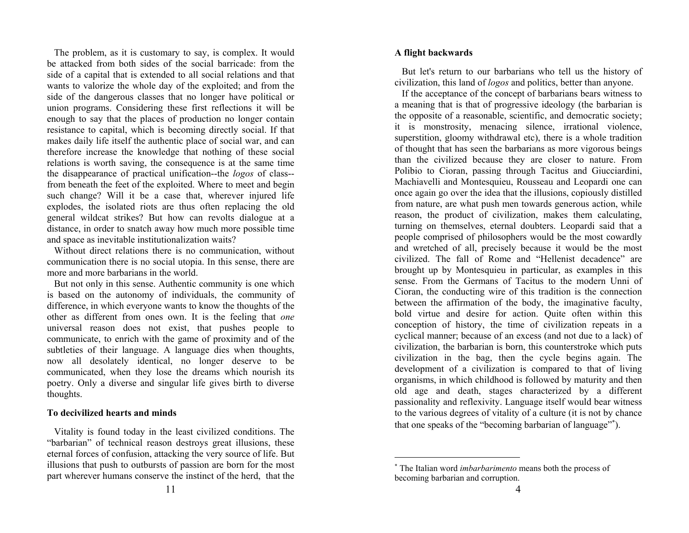The problem, as it is customary to say, is complex. It would be attacked from both sides of the social barricade: from the side of a capital that is extended to all social relations and that wants to valorize the whole day of the exploited; and from the side of the dangerous classes that no longer have political or union programs. Considering these first reflections it will be enough to say that the places of production no longer contain resistance to capital, which is becoming directly social. If that makes daily life itself the authentic place of social war, and can therefore increase the knowledge that nothing of these social relations is worth saving, the consequence is at the same time the disappearance of practical unification--the *logos* of class- from beneath the feet of the exploited. Where to meet and begin such change? Will it be a case that, wherever injured life explodes, the isolated riots are thus often replacing the old general wildcat strikes? But how can revolts dialogue at a distance, in order to snatch away how much more possible time and space as inevitable institutionalization waits?

 Without direct relations there is no communication, without communication there is no social utopia. In this sense, there are more and more barbarians in the world.

 But not only in this sense. Authentic community is one which is based on the autonomy of individuals, the community of difference, in which everyone wants to know the thoughts of the other as different from ones own. It is the feeling that *one* universal reason does not exist, that pushes people to communicate, to enrich with the game of proximity and of the subtleties of their language. A language dies when thoughts, now all desolately identical, no longer deserve to be communicated, when they lose the dreams which nourish its poetry. Only a diverse and singular life gives birth to diverse thoughts.

#### **To decivilized hearts and minds**

 Vitality is found today in the least civilized conditions. The "barbarian" of technical reason destroys great illusions, these eternal forces of confusion, attacking the very source of life. But illusions that push to outbursts of passion are born for the most part wherever humans conserve the instinct of the herd, that the

#### **A flight backwards**

 But let's return to our barbarians who tell us the history of civilization, this land of *logos* and politics, better than anyone.

 If the acceptance of the concept of barbarians bears witness to a meaning that is that of progressive ideology (the barbarian is the opposite of a reasonable, scientific, and democratic society; it is monstrosity, menacing silence, irrational violence, superstition, gloomy withdrawal etc), there is a whole tradition of thought that has seen the barbarians as more vigorous beings than the civilized because they are closer to nature. From Polibio to Cioran, passing through Tacitus and Giucciardini, Machiavelli and Montesquieu, Rousseau and Leopardi one can once again go over the idea that the illusions, copiously distilled from nature, are what push men towards generous action, while reason, the product of civilization, makes them calculating, turning on themselves, eternal doubters. Leopardi said that a people comprised of philosophers would be the most cowardly and wretched of all, precisely because it would be the most civilized. The fall of Rome and "Hellenist decadence" are brought up by Montesquieu in particular, as examples in this sense. From the Germans of Tacitus to the modern Unni of Cioran, the conducting wire of this tradition is the connection between the affirmation of the body, the imaginative faculty, bold virtue and desire for action. Quite often within this conception of history, the time of civilization repeats in a cyclical manner; because of an excess (and not due to a lack) of civilization, the barbarian is born, this counterstroke which puts civilization in the bag, then the cycle begins again. The development of a civilization is compared to that of living organisms, in which childhood is followed by maturity and then old age and death, stages characterized by a different passionality and reflexivity. Language itself would bear witness to the various degrees of vitality of a culture (it is not by chance that one speaks of the "becoming barbarian of language"<sup>∗</sup>).

<sup>∗</sup> The Italian word *imbarbarimento* means both the process of becoming barbarian and corruption.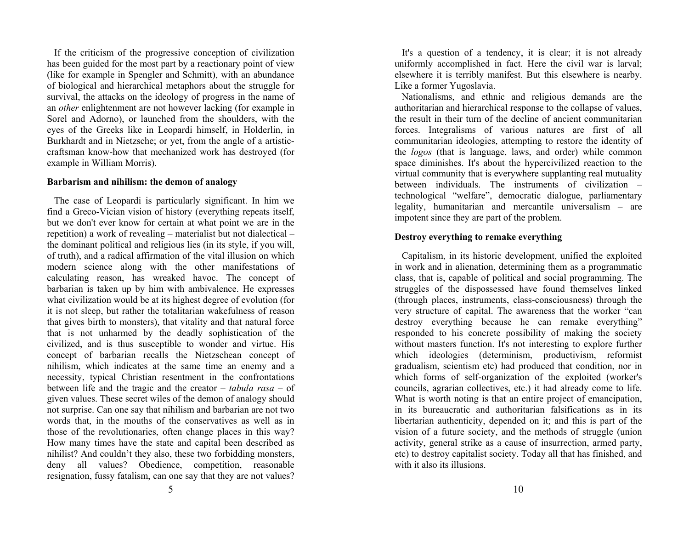If the criticism of the progressive conception of civilization has been guided for the most part by a reactionary point of view (like for example in Spengler and Schmitt), with an abundance of biological and hierarchical metaphors about the struggle for survival, the attacks on the ideology of progress in the name of an *other* enlightenment are not however lacking (for example in Sorel and Adorno), or launched from the shoulders, with the eyes of the Greeks like in Leopardi himself, in Holderlin, in Burkhardt and in Nietzsche; or yet, from the angle of a artisticcraftsman know-how that mechanized work has destroyed (for example in William Morris).

#### **Barbarism and nihilism: the demon of analogy**

 The case of Leopardi is particularly significant. In him we find a Greco-Vician vision of history (everything repeats itself, but we don't ever know for certain at what point we are in the repetition) a work of revealing – materialist but not dialectical – the dominant political and religious lies (in its style, if you will, of truth), and a radical affirmation of the vital illusion on which modern science along with the other manifestations of calculating reason, has wreaked havoc. The concept of barbarian is taken up by him with ambivalence. He expresses what civilization would be at its highest degree of evolution (for it is not sleep, but rather the totalitarian wakefulness of reason that gives birth to monsters), that vitality and that natural force that is not unharmed by the deadly sophistication of the civilized, and is thus susceptible to wonder and virtue. His concept of barbarian recalls the Nietzschean concept of nihilism, which indicates at the same time an enemy and a necessity, typical Christian resentment in the confrontations between life and the tragic and the creator – *tabula rasa* – of given values. These secret wiles of the demon of analogy should not surprise. Can one say that nihilism and barbarian are not two words that, in the mouths of the conservatives as well as in those of the revolutionaries, often change places in this way? How many times have the state and capital been described as nihilist? And couldn't they also, these two forbidding monsters, deny all values? Obedience, competition, reasonable resignation, fussy fatalism, can one say that they are not values?

 It's a question of a tendency, it is clear; it is not already uniformly accomplished in fact. Here the civil war is larval; elsewhere it is terribly manifest. But this elsewhere is nearby. Like a former Yugoslavia.

 Nationalisms, and ethnic and religious demands are the authoritarian and hierarchical response to the collapse of values, the result in their turn of the decline of ancient communitarian forces. Integralisms of various natures are first of all communitarian ideologies, attempting to restore the identity of the *logos* (that is language, laws, and order) while common space diminishes. It's about the hypercivilized reaction to the virtual community that is everywhere supplanting real mutuality between individuals. The instruments of civilization – technological "welfare", democratic dialogue, parliamentary legality, humanitarian and mercantile universalism – are impotent since they are part of the problem.

## **Destroy everything to remake everything**

 Capitalism, in its historic development, unified the exploited in work and in alienation, determining them as a programmatic class, that is, capable of political and social programming. The struggles of the dispossessed have found themselves linked (through places, instruments, class-consciousness) through the very structure of capital. The awareness that the worker "can destroy everything because he can remake everything" responded to his concrete possibility of making the society without masters function. It's not interesting to explore further which ideologies (determinism, productivism, reformist gradualism, scientism etc) had produced that condition, nor in which forms of self-organization of the exploited (worker's councils, agrarian collectives, etc.) it had already come to life. What is worth noting is that an entire project of emancipation, in its bureaucratic and authoritarian falsifications as in its libertarian authenticity, depended on it; and this is part of the vision of a future society, and the methods of struggle (union activity, general strike as a cause of insurrection, armed party, etc) to destroy capitalist society. Today all that has finished, and with it also its illusions.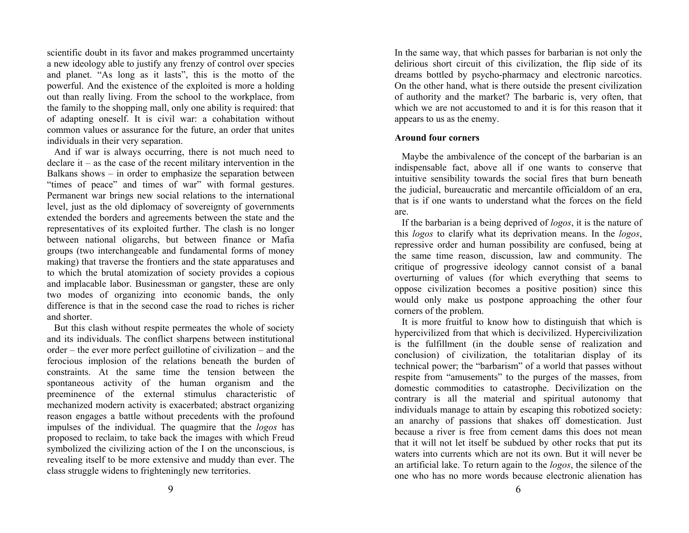scientific doubt in its favor and makes programmed uncertainty a new ideology able to justify any frenzy of control over species and planet. "As long as it lasts", this is the motto of the powerful. And the existence of the exploited is more a holding out than really living. From the school to the workplace, from the family to the shopping mall, only one ability is required: that of adapting oneself. It is civil war: a cohabitation without common values or assurance for the future, an order that unites individuals in their very separation.

 And if war is always occurring, there is not much need to declare it – as the case of the recent military intervention in the Balkans shows – in order to emphasize the separation between "times of peace" and times of war" with formal gestures. Permanent war brings new social relations to the international level, just as the old diplomacy of sovereignty of governments extended the borders and agreements between the state and the representatives of its exploited further. The clash is no longer between national oligarchs, but between finance or Mafia groups (two interchangeable and fundamental forms of money making) that traverse the frontiers and the state apparatuses and to which the brutal atomization of society provides a copious and implacable labor. Businessman or gangster, these are only two modes of organizing into economic bands, the only difference is that in the second case the road to riches is richer and shorter.

 But this clash without respite permeates the whole of society and its individuals. The conflict sharpens between institutional order – the ever more perfect guillotine of civilization – and the ferocious implosion of the relations beneath the burden of constraints. At the same time the tension between the spontaneous activity of the human organism and the preeminence of the external stimulus characteristic of mechanized modern activity is exacerbated; abstract organizing reason engages a battle without precedents with the profound impulses of the individual. The quagmire that the *logos* has proposed to reclaim, to take back the images with which Freud symbolized the civilizing action of the I on the unconscious, is revealing itself to be more extensive and muddy than ever. The class struggle widens to frighteningly new territories.

In the same way, that which passes for barbarian is not only the delirious short circuit of this civilization, the flip side of its dreams bottled by psycho-pharmacy and electronic narcotics. On the other hand, what is there outside the present civilization of authority and the market? The barbaric is, very often, that which we are not accustomed to and it is for this reason that it appears to us as the enemy.

## **Around four corners**

 Maybe the ambivalence of the concept of the barbarian is an indispensable fact, above all if one wants to conserve that intuitive sensibility towards the social fires that burn beneath the judicial, bureaucratic and mercantile officialdom of an era, that is if one wants to understand what the forces on the field are.

 If the barbarian is a being deprived of *logos*, it is the nature of this *logos* to clarify what its deprivation means. In the *logos*, repressive order and human possibility are confused, being at the same time reason, discussion, law and community. The critique of progressive ideology cannot consist of a banal overturning of values (for which everything that seems to oppose civilization becomes a positive position) since this would only make us postpone approaching the other four corners of the problem.

 It is more fruitful to know how to distinguish that which is hypercivilized from that which is decivilized. Hypercivilization is the fulfillment (in the double sense of realization and conclusion) of civilization, the totalitarian display of its technical power; the "barbarism" of a world that passes without respite from "amusements" to the purges of the masses, from domestic commodities to catastrophe. Decivilization on the contrary is all the material and spiritual autonomy that individuals manage to attain by escaping this robotized society: an anarchy of passions that shakes off domestication. Just because a river is free from cement dams this does not mean that it will not let itself be subdued by other rocks that put its waters into currents which are not its own. But it will never be an artificial lake. To return again to the *logos*, the silence of the one who has no more words because electronic alienation has